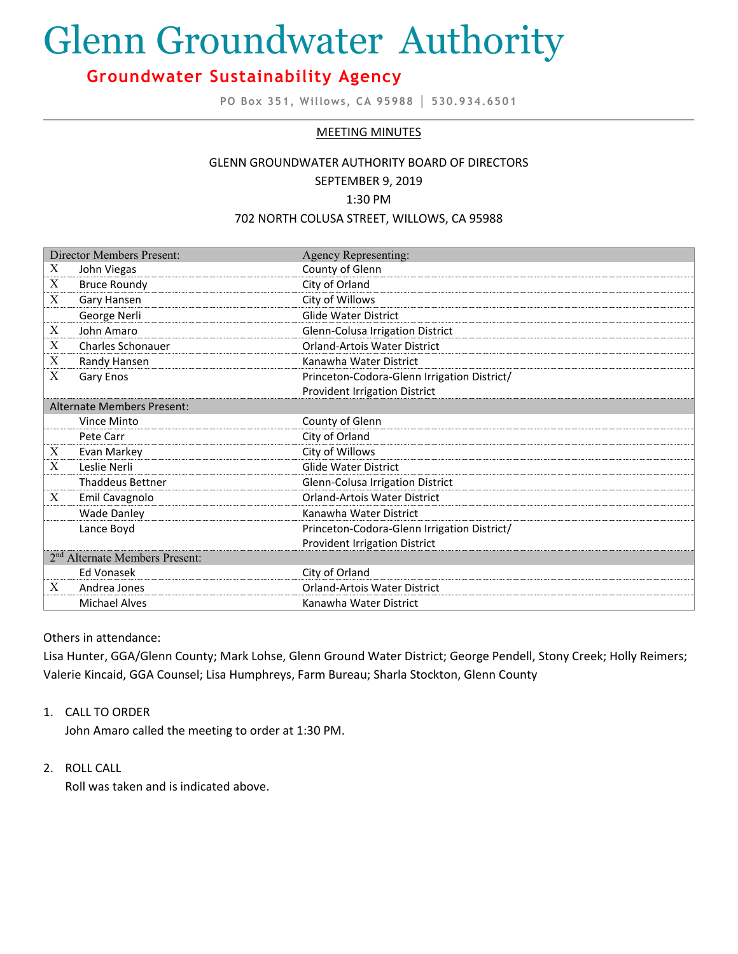# Glenn Groundwater Authority

# **Groundwater Sustainability Agency**

**PO Box 351, Willows, CA 95988 │ 530.934.6501**

### MEETING MINUTES

# GLENN GROUNDWATER AUTHORITY BOARD OF DIRECTORS SEPTEMBER 9, 2019

1:30 PM

#### 702 NORTH COLUSA STREET, WILLOWS, CA 95988

| <b>Director Members Present:</b>           |                          | <b>Agency Representing:</b>                 |
|--------------------------------------------|--------------------------|---------------------------------------------|
| Χ                                          | John Viegas              | County of Glenn                             |
| X                                          | <b>Bruce Roundy</b>      | City of Orland                              |
| X                                          | Gary Hansen              | City of Willows                             |
|                                            | George Nerli             | <b>Glide Water District</b>                 |
| $\boldsymbol{X}$                           | John Amaro               | Glenn-Colusa Irrigation District            |
| X                                          | <b>Charles Schonauer</b> | <b>Orland-Artois Water District</b>         |
| X                                          | Randy Hansen             | Kanawha Water District                      |
| X                                          | Gary Enos                | Princeton-Codora-Glenn Irrigation District/ |
|                                            |                          | <b>Provident Irrigation District</b>        |
| Alternate Members Present:                 |                          |                                             |
|                                            | Vince Minto              | County of Glenn                             |
|                                            | Pete Carr                | City of Orland                              |
| X                                          | Evan Markey              | City of Willows                             |
| X                                          | Leslie Nerli             | <b>Glide Water District</b>                 |
|                                            | <b>Thaddeus Bettner</b>  | Glenn-Colusa Irrigation District            |
| X                                          | Emil Cavagnolo           | <b>Orland-Artois Water District</b>         |
|                                            | <b>Wade Danley</b>       | Kanawha Water District                      |
|                                            | Lance Boyd               | Princeton-Codora-Glenn Irrigation District/ |
|                                            |                          | <b>Provident Irrigation District</b>        |
| 2 <sup>nd</sup> Alternate Members Present: |                          |                                             |
|                                            | <b>Ed Vonasek</b>        | City of Orland                              |
| X                                          | Andrea Jones             | <b>Orland-Artois Water District</b>         |
|                                            | <b>Michael Alves</b>     | Kanawha Water District                      |

Others in attendance:

Lisa Hunter, GGA/Glenn County; Mark Lohse, Glenn Ground Water District; George Pendell, Stony Creek; Holly Reimers; Valerie Kincaid, GGA Counsel; Lisa Humphreys, Farm Bureau; Sharla Stockton, Glenn County

### 1. CALL TO ORDER

John Amaro called the meeting to order at 1:30 PM.

### 2. ROLL CALL

Roll was taken and is indicated above.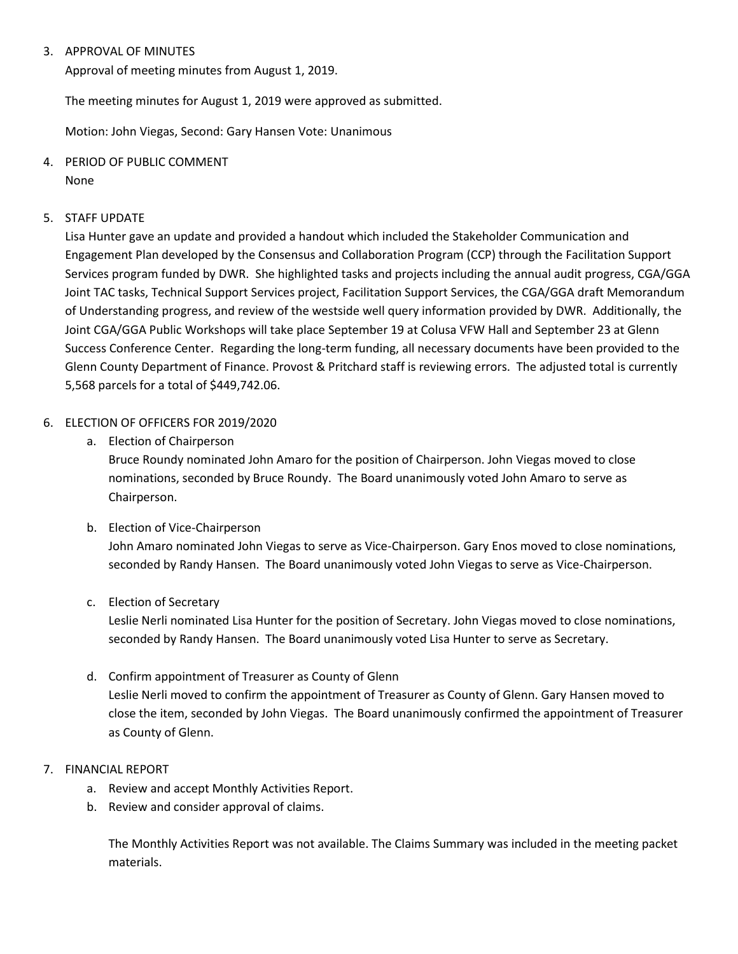# 3. APPROVAL OF MINUTES

Approval of meeting minutes from August 1, 2019.

The meeting minutes for August 1, 2019 were approved as submitted.

Motion: John Viegas, Second: Gary Hansen Vote: Unanimous

4. PERIOD OF PUBLIC COMMENT

None

# 5. STAFF UPDATE

Lisa Hunter gave an update and provided a handout which included the Stakeholder Communication and Engagement Plan developed by the Consensus and Collaboration Program (CCP) through the Facilitation Support Services program funded by DWR. She highlighted tasks and projects including the annual audit progress, CGA/GGA Joint TAC tasks, Technical Support Services project, Facilitation Support Services, the CGA/GGA draft Memorandum of Understanding progress, and review of the westside well query information provided by DWR. Additionally, the Joint CGA/GGA Public Workshops will take place September 19 at Colusa VFW Hall and September 23 at Glenn Success Conference Center. Regarding the long-term funding, all necessary documents have been provided to the Glenn County Department of Finance. Provost & Pritchard staff is reviewing errors. The adjusted total is currently 5,568 parcels for a total of \$449,742.06.

# 6. ELECTION OF OFFICERS FOR 2019/2020

a. Election of Chairperson

Bruce Roundy nominated John Amaro for the position of Chairperson. John Viegas moved to close nominations, seconded by Bruce Roundy. The Board unanimously voted John Amaro to serve as Chairperson.

- b. Election of Vice-Chairperson John Amaro nominated John Viegas to serve as Vice-Chairperson. Gary Enos moved to close nominations, seconded by Randy Hansen. The Board unanimously voted John Viegas to serve as Vice-Chairperson.
- c. Election of Secretary

Leslie Nerli nominated Lisa Hunter for the position of Secretary. John Viegas moved to close nominations, seconded by Randy Hansen. The Board unanimously voted Lisa Hunter to serve as Secretary.

- d. Confirm appointment of Treasurer as County of Glenn Leslie Nerli moved to confirm the appointment of Treasurer as County of Glenn. Gary Hansen moved to close the item, seconded by John Viegas. The Board unanimously confirmed the appointment of Treasurer as County of Glenn.
- 7. FINANCIAL REPORT
	- a. Review and accept Monthly Activities Report.
	- b. Review and consider approval of claims.

The Monthly Activities Report was not available. The Claims Summary was included in the meeting packet materials.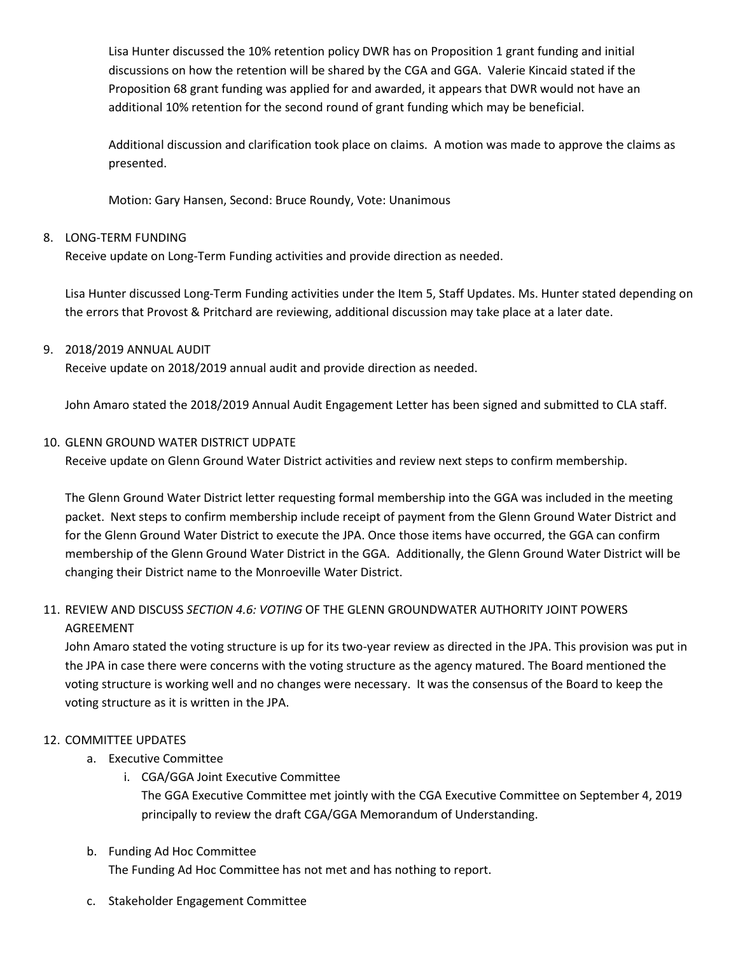Lisa Hunter discussed the 10% retention policy DWR has on Proposition 1 grant funding and initial discussions on how the retention will be shared by the CGA and GGA. Valerie Kincaid stated if the Proposition 68 grant funding was applied for and awarded, it appears that DWR would not have an additional 10% retention for the second round of grant funding which may be beneficial.

Additional discussion and clarification took place on claims. A motion was made to approve the claims as presented.

Motion: Gary Hansen, Second: Bruce Roundy, Vote: Unanimous

# 8. LONG-TERM FUNDING

Receive update on Long-Term Funding activities and provide direction as needed.

Lisa Hunter discussed Long-Term Funding activities under the Item 5, Staff Updates. Ms. Hunter stated depending on the errors that Provost & Pritchard are reviewing, additional discussion may take place at a later date.

# 9. 2018/2019 ANNUAL AUDIT

Receive update on 2018/2019 annual audit and provide direction as needed.

John Amaro stated the 2018/2019 Annual Audit Engagement Letter has been signed and submitted to CLA staff.

### 10. GLENN GROUND WATER DISTRICT UDPATE

Receive update on Glenn Ground Water District activities and review next steps to confirm membership.

The Glenn Ground Water District letter requesting formal membership into the GGA was included in the meeting packet. Next steps to confirm membership include receipt of payment from the Glenn Ground Water District and for the Glenn Ground Water District to execute the JPA. Once those items have occurred, the GGA can confirm membership of the Glenn Ground Water District in the GGA. Additionally, the Glenn Ground Water District will be changing their District name to the Monroeville Water District.

# 11. REVIEW AND DISCUSS *SECTION 4.6: VOTING* OF THE GLENN GROUNDWATER AUTHORITY JOINT POWERS AGREEMENT

John Amaro stated the voting structure is up for its two-year review as directed in the JPA. This provision was put in the JPA in case there were concerns with the voting structure as the agency matured. The Board mentioned the voting structure is working well and no changes were necessary. It was the consensus of the Board to keep the voting structure as it is written in the JPA.

### 12. COMMITTEE UPDATES

- a. Executive Committee
	- i. CGA/GGA Joint Executive Committee

The GGA Executive Committee met jointly with the CGA Executive Committee on September 4, 2019 principally to review the draft CGA/GGA Memorandum of Understanding.

### b. Funding Ad Hoc Committee

The Funding Ad Hoc Committee has not met and has nothing to report.

c. Stakeholder Engagement Committee